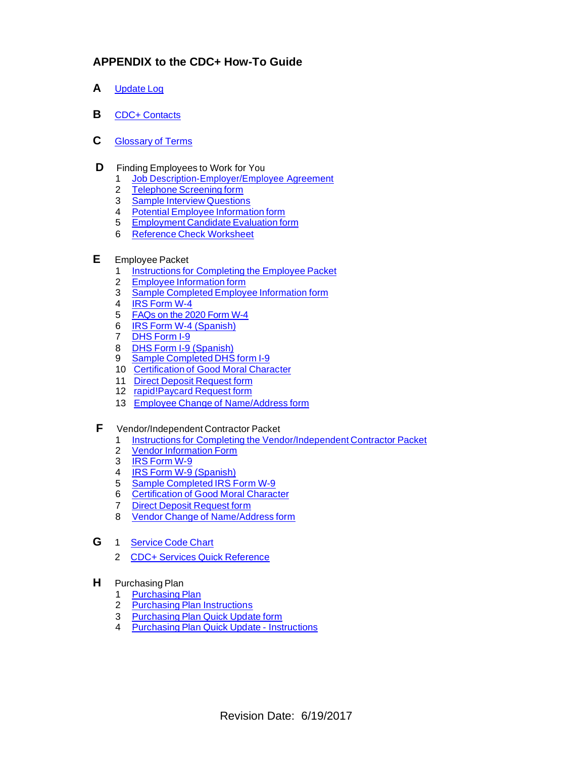## **APPENDIX to the CDC+ How-To Guide**

- **A** [Update](http://apdcares.org/cdcplus/docs/appendix/A-Update-Log.pdf) Log
- **B** CDC+ [Contacts](http://apdcares.org/cdcplus/docs/appendix/B-CDC-Contacts.pdf)
- **C** [Glossary](http://apdcares.org/cdcplus/docs/4-Glossary of Terms.11.4.20.pdf) of Terms
- **D** Finding Employees to Work for You
	- 1 Job [Description-Employer/Employee](http://apdcares.org/cdcplus/docs/appendix/D.1-Job-Description-%20Employer.Employee%20Agreement.pdf) Agreement
	- 2 [Telephone](http://apdcares.org/cdcplus/docs/appendix/D.2-Telephone-Screening-form.pdf) Screening form
	- 3 Sample Interview [Questions](http://apdcares.org/cdcplus/docs/appendix/D.3-Interview-Questions-Employees.pdf)
	- 4 Potential Employee [Information](http://apdcares.org/cdcplus/docs/appendix/D.4-Potential-Employee-Information-form.pdf) form
	- 5 [Employment](http://apdcares.org/cdcplus/docs/appendix/D.5-Employee-Candidate-Evaluation-form.pdf) Candidate Evaluation form
	- 6 Reference Check [Worksheet](http://apdcares.org/cdcplus/docs/appendix/D.6-Reference-Check-Worksheet.pdf)
- **E** Employee Packet
	- 1 [Instructions](https://apd.myflorida.com/cdcplus/docs/appendix/1-Employee-Packet-Instructions-2020-3.6.pdf) for Completing the Employee Packet
	- 2 Employee [Information](http://apdcares.org/cdcplus/docs/appendix/Employee-information-form-14-12-2fillable.pdf) form
	- 3 Sample [Completed](http://apdcares.org/cdcplus/docs/appendix/E.3-Employee-Information-Form-2013.03.28-SAMPLE.pdf) Employee Information form
	- 4 IRS [Form](https://www.irs.gov/pub/irs-pdf/fw4.pdf) W-4
	- 5 [FAQs](https://gcc01.safelinks.protection.outlook.com/?url=http%3A%2F%2Fapdcares.org%2Fcdcplus%2Ffea%2Fdocs%2FFAQs%2520on%2520the%25202020%2520Form%2520W-4.pdf&data=02%7C01%7CJohn.Milton%40Apdcares.Org%7C743687e14f1d4f7a84af08d79f7bb6aa%7Ccfd244495ec34a3e8a9e1217913f4470%7C0%7C0%7C637153225997108223&sdata=%2Fp%2F4ONB9e8pDW1BiWe6EbI7cYObTq53dK7OcgmZu%2BVc%3D&reserved=0) on the 2020 Form W-4
	- 6 IRS Form W-4 [\(Spanish\)](https://www.irs.gov/pub/irs-pdf/fw4sp.pdf)
	- 7 DHS [Form](https://www.uscis.gov/sites/default/files/files/form/i-9.pdf) I-9
	- 8 DHS Form I-9 [\(Spanish\)](https://www.uscis.gov/system/files_force/files/form/i-9-spanish.pdf)
	- 9 Sample [Completed](http://apdcares.org/cdcplus/docs/appendix/E.9-I-9-form-SAMPLE.pdf) DHS form I-9
	- 10 [Certification](http://apdcares.org/cdcplus/docs/appendix/CDC-Certification-of-Good-Moral-Character-16-1-28fillable.pdf) of Good Moral Character
	- 11 Direct Deposit [Request](http://apdcares.org/cdcplus/docs/appendix/Direct-Deposit-Request-Form-2016.05.05.fillable.pdf) form
	- 12 [rapid!Paycard](http://apdcares.org/cdcplus/docs/appendix/rapidPayCard-Request-Form-2016.05.05fillable.pdf) Request form
	- 13 Employee Change of [Name/Address](http://apdcares.org/cdcplus/docs/appendix/Change-of-Name-and-Address-2017.11.02.Fillable.pdf) form
- **F** Vendor/Independent Contractor Packet
	- 1 Instructions for Completing the [Vendor/Independent](http://apd.myflorida.com/cdcplus/docs/appendix/Instructions-for-Completing-Vendor-Packet_17-02-09.pdf) Contractor Packet
	- 2 Vendor [Information](http://apdcares.org/cdcplus/docs/appendix/VIF.effective.7.1.20.pdf) Form
	- 3 IRS [Form](https://www.irs.gov/pub/irs-pdf/fw9.pdf?portlet=3) W-9
	- 4 IRS Form W-9 [\(Spanish\)](https://www.irs.gov/pub/irs-pdf/fw9sp.pdf)
	- 5 Sample [Completed](http://apdcares.org/cdcplus/docs/appendix/F.6-W-9-SAMPLE.pdf) IRS Form W-9
	- 6 [Certification](http://apdcares.org/cdcplus/docs/appendix/CDC-Certification-of-Good-Moral-Character-16-1-28fillable.pdf) of Good Moral Character
	- 7 Direct Deposit [Request](http://apdcares.org/cdcplus/docs/appendix/Direct-Deposit-Request-Form-2016.05.05.fillable.pdf) form
	- 8 Vendor Change of [Name/Address](https://apd.myflorida.com/cdcplus/docs/appendix/5-Change-of-Name-and-Address-2017.11.02.Fillable.pdf) form
- **G** 1 [Service](http://apdcares.org/cdcplus/docs/service-code-chart-11.4.20.pdf) Code Chart
	- 2 CDC+ Services Quick [Reference](https://apd.myflorida.com/cdcplus/docs/CDC.Services.Quck.Reference.EVV.11.4.20.pdf)
- **H** Purchasing Plan
	- 1 [Purchasing](http://apdcares.org/cdcplus/docs/appendix/H.1-Purchasing%20Plan.3.0-C.xls) Plan
	- 2 Purchasing Plan [Instructions](http://apdcares.org/cdcplus/docs/appendix/H.2-Purchasing-Plan-Instructions-2012-12-19.pdf)
	- 3 [Purchasing](http://apdcares.org/cdcplus/docs/appendix/H.3-Quick-Update-form-12-3-6.pdf) Plan Quick Update form
	- 4 Purchasing Plan Quick Update [Instructions](http://apdcares.org/cdcplus/docs/appendix/H.4.Quick%20Update%20Instructions.pdf)